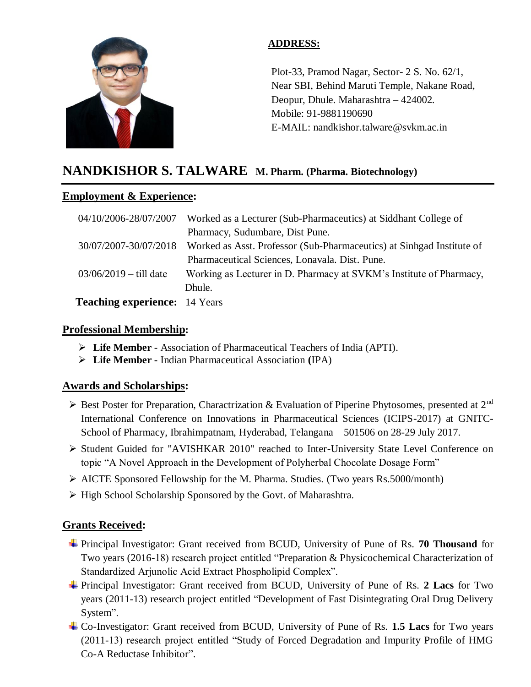

# **ADDRESS:**

Plot-33, Pramod Nagar, Sector- 2 S. No. 62/1, Near SBI, Behind Maruti Temple, Nakane Road, Deopur, Dhule. Maharashtra – 424002. Mobile: 91-9881190690 E-MAIL: nandkishor.talware@svkm.ac.in

# **NANDKISHOR S. TALWARE M. Pharm. (Pharma. Biotechnology)**

#### l **Employment & Experience:**

| 04/10/2006-28/07/2007                | Worked as a Lecturer (Sub-Pharmaceutics) at Siddhant College of                             |
|--------------------------------------|---------------------------------------------------------------------------------------------|
|                                      | Pharmacy, Sudumbare, Dist Pune.                                                             |
|                                      | 30/07/2007-30/07/2018 Worked as Asst. Professor (Sub-Pharmaceutics) at Sinhgad Institute of |
|                                      | Pharmaceutical Sciences, Lonavala. Dist. Pune.                                              |
| $03/06/2019 -$ till date             | Working as Lecturer in D. Pharmacy at SVKM's Institute of Pharmacy,                         |
|                                      | Dhule.                                                                                      |
| <b>Teaching experience:</b> 14 Years |                                                                                             |

# **Professional Membership:**

- **Life Member**  Association of Pharmaceutical Teachers of India (APTI).
- **Life Member -** Indian Pharmaceutical Association **(**IPA)

# **Awards and Scholarships:**

- $\triangleright$  Best Poster for Preparation, Charactrization & Evaluation of Piperine Phytosomes, presented at 2<sup>nd</sup> International Conference on Innovations in Pharmaceutical Sciences (ICIPS-2017) at GNITC-School of Pharmacy, Ibrahimpatnam, Hyderabad, Telangana – 501506 on 28-29 July 2017.
- Student Guided for "AVISHKAR 2010" reached to Inter-University State Level Conference on topic "A Novel Approach in the Development of Polyherbal Chocolate Dosage Form"
- $\triangleright$  AICTE Sponsored Fellowship for the M. Pharma. Studies. (Two years Rs.5000/month)
- $\triangleright$  High School Scholarship Sponsored by the Govt. of Maharashtra.

# **Grants Received:**

- Principal Investigator: Grant received from BCUD, University of Pune of Rs. **70 Thousand** for Two years (2016-18) research project entitled "Preparation & Physicochemical Characterization of Standardized Arjunolic Acid Extract Phospholipid Complex".
- Principal Investigator: Grant received from BCUD, University of Pune of Rs. **2 Lacs** for Two years (2011-13) research project entitled "Development of Fast Disintegrating Oral Drug Delivery System".
- Co-Investigator: Grant received from BCUD, University of Pune of Rs. **1.5 Lacs** for Two years (2011-13) research project entitled "Study of Forced Degradation and Impurity Profile of HMG Co-A Reductase Inhibitor".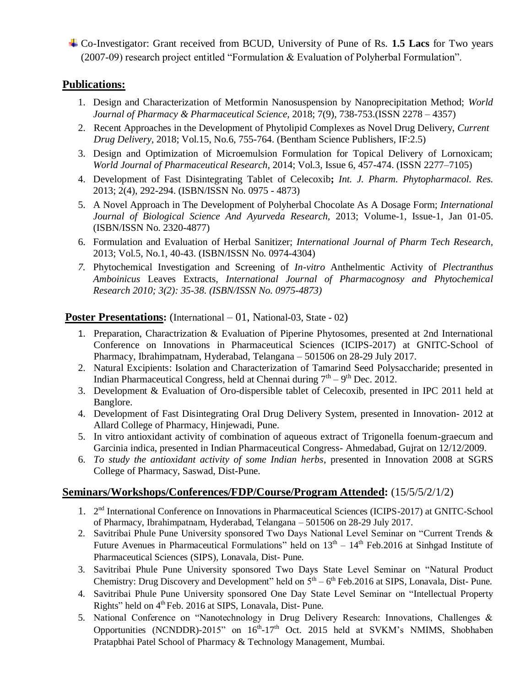Co-Investigator: Grant received from BCUD, University of Pune of Rs. **1.5 Lacs** for Two years (2007-09) research project entitled "Formulation & Evaluation of Polyherbal Formulation".

# **Publications:**

- 1. Design and Characterization of Metformin Nanosuspension by Nanoprecipitation Method; *World Journal of Pharmacy & Pharmaceutical Science,* 2018; 7(9), 738-753.(ISSN 2278 – 4357)
- 2. Recent Approaches in the Development of Phytolipid Complexes as Novel Drug Delivery, *Current Drug Delivery,* 2018; Vol.15, No.6, 755-764. (Bentham Science Publishers, IF:2.5)
- 3. Design and Optimization of Microemulsion Formulation for Topical Delivery of Lornoxicam; *World Journal of Pharmaceutical Research,* 2014; Vol.3, Issue 6, 457-474. (ISSN 2277–7105)
- 4. Development of Fast Disintegrating Tablet of Celecoxib**;** *Int. J. Pharm. Phytopharmacol. Res.*  2013; 2(4), 292-294. (ISBN/ISSN No. 0975 - 4873)
- 5. A Novel Approach in The Development of Polyherbal Chocolate As A Dosage Form; *International Journal of Biological Science And Ayurveda Research,* 2013; Volume-1, Issue-1, Jan 01-05. (ISBN/ISSN No. 2320-4877)
- 6. Formulation and Evaluation of Herbal Sanitizer; *International Journal of Pharm Tech Research,* 2013; Vol.5, No.1, 40-43. (ISBN/ISSN No. 0974-4304)
- *7.* Phytochemical Investigation and Screening of *In-vitro* Anthelmentic Activity of *Plectranthus Amboinicus* Leaves Extracts, *International Journal of Pharmacognosy and Phytochemical Research 2010; 3(2): 35-38. (ISBN/ISSN No. 0975-4873)*

#### **Poster Presentations:** (International – 01, National-03, State - 02)

- 1. Preparation, Charactrization & Evaluation of Piperine Phytosomes, presented at 2nd International Conference on Innovations in Pharmaceutical Sciences (ICIPS-2017) at GNITC-School of Pharmacy, Ibrahimpatnam, Hyderabad, Telangana – 501506 on 28-29 July 2017.
- 2. Natural Excipients: Isolation and Characterization of Tamarind Seed Polysaccharide; presented in Indian Pharmaceutical Congress, held at Chennai during  $7<sup>th</sup> - 9<sup>th</sup>$  Dec. 2012.
- 3. Development & Evaluation of Oro-dispersible tablet of Celecoxib, presented in IPC 2011 held at Banglore.
- 4. Development of Fast Disintegrating Oral Drug Delivery System, presented in Innovation- 2012 at Allard College of Pharmacy, Hinjewadi, Pune.
- 5. In vitro antioxidant activity of combination of aqueous extract of Trigonella foenum-graecum and Garcinia indica, presented in Indian Pharmaceutical Congress- Ahmedabad, Gujrat on 12/12/2009.
- 6. *To study the antioxidant activity of some Indian herbs*, presented in Innovation 2008 at SGRS College of Pharmacy, Saswad, Dist-Pune.

# **Seminars/Workshops/Conferences/FDP/Course/Program Attended:** (15/5/5/2/1/2)

- 1. 2<sup>nd</sup> International Conference on Innovations in Pharmaceutical Sciences (ICIPS-2017) at GNITC-School of Pharmacy, Ibrahimpatnam, Hyderabad, Telangana – 501506 on 28-29 July 2017.
- 2. Savitribai Phule Pune University sponsored Two Days National Level Seminar on "Current Trends & Future Avenues in Pharmaceutical Formulations" held on  $13<sup>th</sup> - 14<sup>th</sup>$  Feb. 2016 at Sinhgad Institute of Pharmaceutical Sciences (SIPS), Lonavala, Dist- Pune.
- 3. Savitribai Phule Pune University sponsored Two Days State Level Seminar on "Natural Product Chemistry: Drug Discovery and Development" held on  $5<sup>th</sup> - 6<sup>th</sup>$  Feb.2016 at SIPS, Lonavala, Dist-Pune.
- 4. Savitribai Phule Pune University sponsored One Day State Level Seminar on "Intellectual Property Rights" held on 4<sup>th</sup> Feb. 2016 at SIPS, Lonavala, Dist-Pune.
- 5. National Conference on "Nanotechnology in Drug Delivery Research: Innovations, Challenges & Opportunities (NCNDDR)-2015" on 16<sup>th</sup>-17<sup>th</sup> Oct. 2015 held at SVKM's NMIMS, Shobhaben Pratapbhai Patel School of Pharmacy & Technology Management, Mumbai.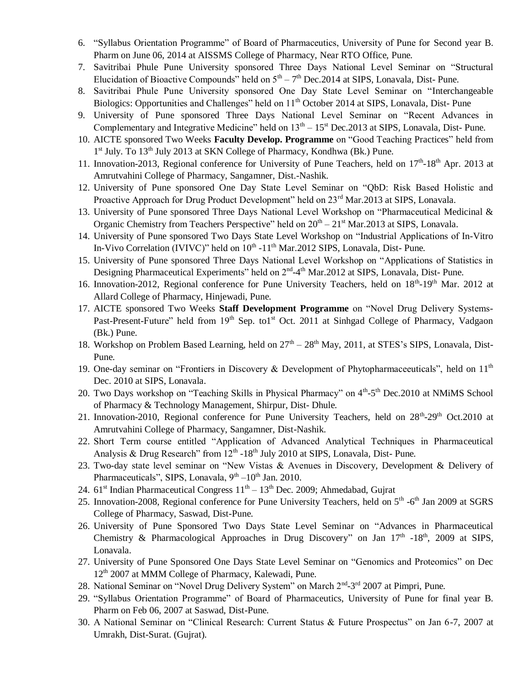- 6. "Syllabus Orientation Programme" of Board of Pharmaceutics, University of Pune for Second year B. Pharm on June 06, 2014 at AISSMS College of Pharmacy, Near RTO Office, Pune.
- 7. Savitribai Phule Pune University sponsored Three Days National Level Seminar on "Structural Elucidation of Bioactive Compounds" held on  $5<sup>th</sup> - 7<sup>th</sup>$  Dec. 2014 at SIPS, Lonavala, Dist-Pune.
- 8. Savitribai Phule Pune University sponsored One Day State Level Seminar on "Interchangeable Biologics: Opportunities and Challenges" held on 11<sup>th</sup> October 2014 at SIPS, Lonavala, Dist- Pune
- 9. University of Pune sponsored Three Days National Level Seminar on "Recent Advances in Complementary and Integrative Medicine" held on  $13<sup>th</sup> - 15<sup>st</sup>$  Dec. 2013 at SIPS, Lonavala, Dist-Pune.
- 10. AICTE sponsored Two Weeks **Faculty Develop. Programme** on "Good Teaching Practices" held from 1<sup>st</sup> July. To 13<sup>th</sup> July 2013 at SKN College of Pharmacy, Kondhwa (Bk.) Pune.
- 11. Innovation-2013, Regional conference for University of Pune Teachers, held on 17<sup>th</sup>-18<sup>th</sup> Apr. 2013 at Amrutvahini College of Pharmacy, Sangamner, Dist.-Nashik.
- 12. University of Pune sponsored One Day State Level Seminar on "QbD: Risk Based Holistic and Proactive Approach for Drug Product Development" held on 23<sup>rd</sup> Mar.2013 at SIPS, Lonavala.
- 13. University of Pune sponsored Three Days National Level Workshop on "Pharmaceutical Medicinal & Organic Chemistry from Teachers Perspective" held on  $20^{th} - 21^{st}$  Mar. 2013 at SIPS, Lonavala.
- 14. University of Pune sponsored Two Days State Level Workshop on "Industrial Applications of In-Vitro In-Vivo Correlation (IVIVC)" held on 10<sup>th</sup> -11<sup>th</sup> Mar.2012 SIPS, Lonavala, Dist-Pune.
- 15. University of Pune sponsored Three Days National Level Workshop on "Applications of Statistics in Designing Pharmaceutical Experiments" held on 2<sup>nd</sup>-4<sup>th</sup> Mar.2012 at SIPS, Lonavala, Dist- Pune.
- 16. Innovation-2012, Regional conference for Pune University Teachers, held on 18<sup>th</sup>-19<sup>th</sup> Mar. 2012 at Allard College of Pharmacy, Hinjewadi, Pune.
- 17. AICTE sponsored Two Weeks **Staff Development Programme** on "Novel Drug Delivery Systems-Past-Present-Future" held from 19<sup>th</sup> Sep. to1<sup>st</sup> Oct. 2011 at Sinhgad College of Pharmacy, Vadgaon (Bk.) Pune.
- 18. Workshop on Problem Based Learning, held on  $27<sup>th</sup> 28<sup>th</sup>$  May, 2011, at STES's SIPS, Lonavala, Dist-Pune.
- 19. One-day seminar on "Frontiers in Discovery & Development of Phytopharmace euticals", held on  $11<sup>th</sup>$ Dec. 2010 at SIPS, Lonavala.
- 20. Two Days workshop on "Teaching Skills in Physical Pharmacy" on 4<sup>th</sup>-5<sup>th</sup> Dec.2010 at NMiMS School of Pharmacy & Technology Management, Shirpur, Dist- Dhule.
- 21. Innovation-2010, Regional conference for Pune University Teachers, held on 28<sup>th</sup>-29<sup>th</sup> Oct.2010 at Amrutvahini College of Pharmacy, Sangamner, Dist-Nashik.
- 22. Short Term course entitled "Application of Advanced Analytical Techniques in Pharmaceutical Analysis & Drug Research" from  $12<sup>th</sup>$  -18<sup>th</sup> July 2010 at SIPS, Lonavala, Dist- Pune.
- 23. Two-day state level seminar on "New Vistas & Avenues in Discovery, Development & Delivery of Pharmaceuticals", SIPS, Lonavala, 9<sup>th</sup> –10<sup>th</sup> Jan. 2010.
- 24.  $61<sup>st</sup>$  Indian Pharmaceutical Congress  $11<sup>th</sup> 13<sup>th</sup>$  Dec. 2009; Ahmedabad, Gujrat
- 25. Innovation-2008, Regional conference for Pune University Teachers, held on 5<sup>th</sup> -6<sup>th</sup> Jan 2009 at SGRS College of Pharmacy, Saswad, Dist-Pune.
- 26. University of Pune Sponsored Two Days State Level Seminar on "Advances in Pharmaceutical Chemistry & Pharmacological Approaches in Drug Discovery" on Jan  $17<sup>th</sup>$  -18<sup>th</sup>, 2009 at SIPS, Lonavala.
- 27. University of Pune Sponsored One Days State Level Seminar on "Genomics and Proteomics" on Dec 12<sup>th</sup> 2007 at MMM College of Pharmacy, Kalewadi, Pune.
- 28. National Seminar on "Novel Drug Delivery System" on March 2<sup>nd</sup>-3<sup>rd</sup> 2007 at Pimpri, Pune.
- 29. "Syllabus Orientation Programme" of Board of Pharmaceutics, University of Pune for final year B. Pharm on Feb 06, 2007 at Saswad, Dist-Pune.
- 30. A National Seminar on "Clinical Research: Current Status & Future Prospectus" on Jan 6-7, 2007 at Umrakh, Dist-Surat. (Gujrat).